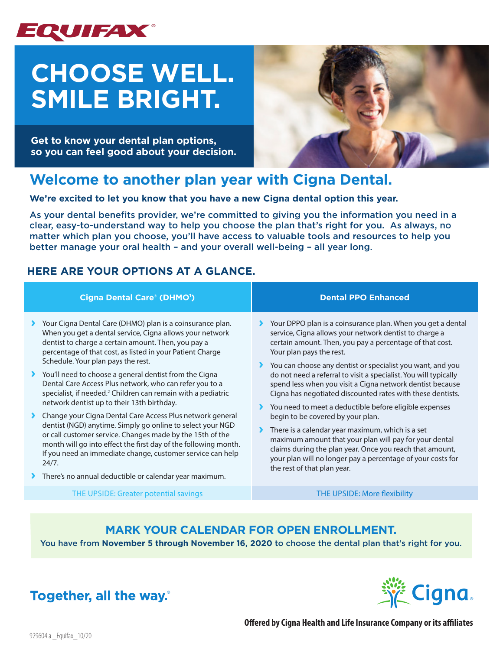

# **CHOOSE WELL. SMILE BRIGHT.**

**Get to know your dental plan options, so you can feel good about your decision.**



## **Welcome to another plan year with Cigna Dental.**

**We're excited to let you know that you have a new Cigna dental option this year.** 

As your dental benefits provider, we're committed to giving you the information you need in a clear, easy-to-understand way to help you choose the plan that's right for you. As always, no matter which plan you choose, you'll have access to valuable tools and resources to help you better manage your oral health – and your overall well-being – all year long.

## **HERE ARE YOUR OPTIONS AT A GLANCE.**

| Cigna Dental Care® (DHMO <sup>1</sup> )                                                                                                                                                                                                                                                                                                                                                                                                                                                                                                                                                                                                                                                                                                                                                                                                                            | <b>Dental PPO Enhanced</b>                                                                                                                                                                                                                                                                                                                                                                                                                                                                                                                                                                                                                                                                                                                                                                                         |
|--------------------------------------------------------------------------------------------------------------------------------------------------------------------------------------------------------------------------------------------------------------------------------------------------------------------------------------------------------------------------------------------------------------------------------------------------------------------------------------------------------------------------------------------------------------------------------------------------------------------------------------------------------------------------------------------------------------------------------------------------------------------------------------------------------------------------------------------------------------------|--------------------------------------------------------------------------------------------------------------------------------------------------------------------------------------------------------------------------------------------------------------------------------------------------------------------------------------------------------------------------------------------------------------------------------------------------------------------------------------------------------------------------------------------------------------------------------------------------------------------------------------------------------------------------------------------------------------------------------------------------------------------------------------------------------------------|
| Your Cigna Dental Care (DHMO) plan is a coinsurance plan.<br>When you get a dental service, Cigna allows your network<br>dentist to charge a certain amount. Then, you pay a<br>percentage of that cost, as listed in your Patient Charge<br>Schedule. Your plan pays the rest.<br>▶ You'll need to choose a general dentist from the Cigna<br>Dental Care Access Plus network, who can refer you to a<br>specialist, if needed. <sup>2</sup> Children can remain with a pediatric<br>network dentist up to their 13th birthday.<br>Change your Cigna Dental Care Access Plus network general<br>dentist (NGD) anytime. Simply go online to select your NGD<br>or call customer service. Changes made by the 15th of the<br>month will go into effect the first day of the following month.<br>If you need an immediate change, customer service can help<br>24/7. | Your DPPO plan is a coinsurance plan. When you get a dental<br>service, Cigna allows your network dentist to charge a<br>certain amount. Then, you pay a percentage of that cost.<br>Your plan pays the rest.<br>You can choose any dentist or specialist you want, and you<br>do not need a referral to visit a specialist. You will typically<br>spend less when you visit a Cigna network dentist because<br>Cigna has negotiated discounted rates with these dentists.<br>You need to meet a deductible before eligible expenses<br>begin to be covered by your plan.<br>There is a calendar year maximum, which is a set<br>maximum amount that your plan will pay for your dental<br>claims during the plan year. Once you reach that amount,<br>your plan will no longer pay a percentage of your costs for |
| There's no annual deductible or calendar year maximum.                                                                                                                                                                                                                                                                                                                                                                                                                                                                                                                                                                                                                                                                                                                                                                                                             | the rest of that plan year.                                                                                                                                                                                                                                                                                                                                                                                                                                                                                                                                                                                                                                                                                                                                                                                        |

THE UPSIDE: Greater potential savings The UPSIDE: More flexibility

## **MARK YOUR CALENDAR FOR OPEN ENROLLMENT.**

You have from **November 5 through November 16, 2020** to choose the dental plan that's right for you.



**Together, all the way.**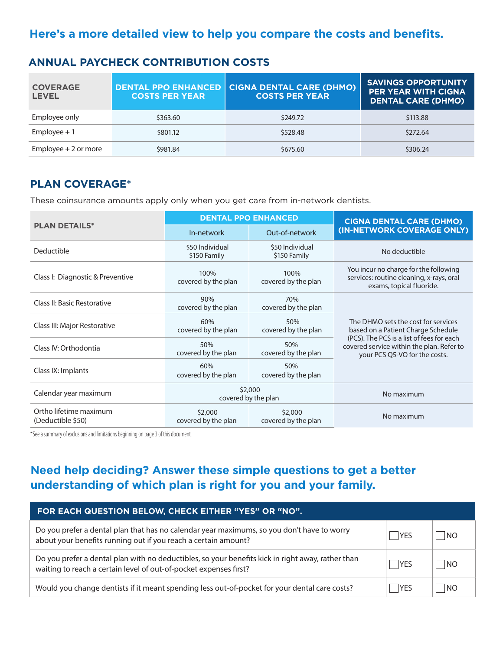## **Here's a more detailed view to help you compare the costs and benefits.**

| <b>COVERAGE</b><br><b>LEVEL</b> | <b>COSTS PER YEAR</b> | DENTAL PPO ENHANCED CIGNA DENTAL CARE (DHMO)<br><b>COSTS PER YEAR</b> | <b>SAVINGS OPPORTUNITY</b><br><b>PER YEAR WITH CIGNA</b><br><b>DENTAL CARE (DHMO)</b> |
|---------------------------------|-----------------------|-----------------------------------------------------------------------|---------------------------------------------------------------------------------------|
| Employee only                   | \$363.60              | \$249.72                                                              | \$113.88                                                                              |
| $Employee + 1$                  | \$801.12              | \$528.48                                                              | \$272.64                                                                              |
| Employee $+2$ or more           | \$981.84              | \$675.60                                                              | \$306.24                                                                              |

### **ANNUAL PAYCHECK CONTRIBUTION COSTS**

## **PLAN COVERAGE\***

These coinsurance amounts apply only when you get care from in-network dentists.

|                                             | <b>DENTAL PPO ENHANCED</b>      |                                 | <b>CIGNA DENTAL CARE (DHMO)</b>                                                                                                                                                                      |  |
|---------------------------------------------|---------------------------------|---------------------------------|------------------------------------------------------------------------------------------------------------------------------------------------------------------------------------------------------|--|
| <b>PLAN DETAILS*</b>                        | In-network                      | Out-of-network                  | (IN-NETWORK COVERAGE ONLY)                                                                                                                                                                           |  |
| Deductible                                  | \$50 Individual<br>\$150 Family | \$50 Individual<br>\$150 Family | No deductible                                                                                                                                                                                        |  |
| Class I: Diagnostic & Preventive            | 100%<br>covered by the plan     | 100%<br>covered by the plan     | You incur no charge for the following<br>services: routine cleaning, x-rays, oral<br>exams, topical fluoride.                                                                                        |  |
| Class II: Basic Restorative                 | 90%<br>covered by the plan      | 70%<br>covered by the plan      | The DHMO sets the cost for services<br>based on a Patient Charge Schedule<br>(PCS). The PCS is a list of fees for each<br>covered service within the plan. Refer to<br>your PCS Q5-VO for the costs. |  |
| Class III: Major Restorative                | 60%<br>covered by the plan      | 50%<br>covered by the plan      |                                                                                                                                                                                                      |  |
| Class IV: Orthodontia                       | 50%<br>covered by the plan      | 50%<br>covered by the plan      |                                                                                                                                                                                                      |  |
| Class IX: Implants                          | 60%<br>covered by the plan      | 50%<br>covered by the plan      |                                                                                                                                                                                                      |  |
| Calendar year maximum                       | \$2,000<br>covered by the plan  |                                 | No maximum                                                                                                                                                                                           |  |
| Ortho lifetime maximum<br>(Deductible \$50) | \$2,000<br>covered by the plan  | \$2,000<br>covered by the plan  | No maximum                                                                                                                                                                                           |  |

\*See a summary of exclusions and limitations beginning on page 3 of this document.

## **Need help deciding? Answer these simple questions to get a better understanding of which plan is right for you and your family.**

| FOR EACH QUESTION BELOW, CHECK EITHER "YES" OR "NO".                                                                                                                   |            |      |  |
|------------------------------------------------------------------------------------------------------------------------------------------------------------------------|------------|------|--|
| Do you prefer a dental plan that has no calendar year maximums, so you don't have to worry<br>about your benefits running out if you reach a certain amount?           | <b>YES</b> | NO.  |  |
| Do you prefer a dental plan with no deductibles, so your benefits kick in right away, rather than<br>waiting to reach a certain level of out-of-pocket expenses first? | <b>YFS</b> | NC.  |  |
| Would you change dentists if it meant spending less out-of-pocket for your dental care costs?                                                                          | YES        | I NO |  |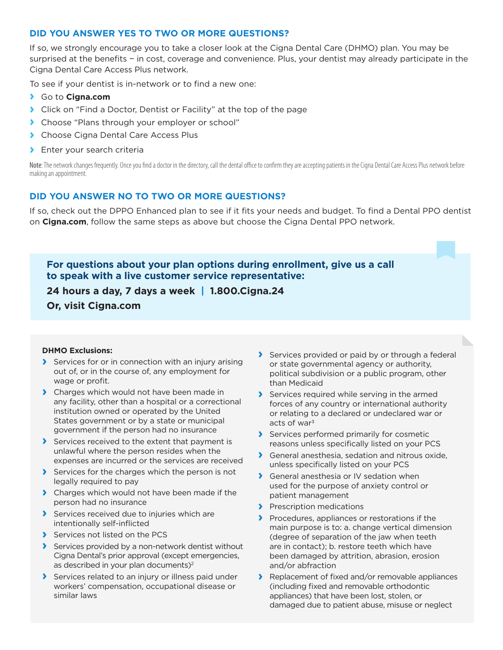#### **DID YOU ANSWER YES TO TWO OR MORE QUESTIONS?**

If so, we strongly encourage you to take a closer look at the Cigna Dental Care (DHMO) plan. You may be surprised at the benefits − in cost, coverage and convenience. Plus, your dentist may already participate in the Cigna Dental Care Access Plus network.

To see if your dentist is in-network or to find a new one:

- **›** Go to **Cigna.com**
- **›** Click on "Find a Doctor, Dentist or Facility" at the top of the page
- **›** Choose "Plans through your employer or school"
- **›** Choose Cigna Dental Care Access Plus
- **›** Enter your search criteria

Note: The network changes frequently. Once you find a doctor in the directory, call the dental office to confirm they are accepting patients in the Cigna Dental Care Access Plus network before making an appointment.

#### **DID YOU ANSWER NO TO TWO OR MORE QUESTIONS?**

If so, check out the DPPO Enhanced plan to see if it fits your needs and budget. To find a Dental PPO dentist on **Cigna.com**, follow the same steps as above but choose the Cigna Dental PPO network.

**For questions about your plan options during enrollment, give us a call to speak with a live customer service representative:**

**24 hours a day, 7 days a week | 1.800.Cigna.24 Or, visit Cigna.com**

#### **DHMO Exclusions:**

- **›** Services for or in connection with an injury arising out of, or in the course of, any employment for wage or profit.
- **›** Charges which would not have been made in any facility, other than a hospital or a correctional institution owned or operated by the United States government or by a state or municipal government if the person had no insurance
- **›** Services received to the extent that payment is unlawful where the person resides when the expenses are incurred or the services are received
- **›** Services for the charges which the person is not legally required to pay
- **›** Charges which would not have been made if the person had no insurance
- **›** Services received due to injuries which are intentionally self-inflicted
- **›** Services not listed on the PCS
- **›** Services provided by a non-network dentist without Cigna Dental's prior approval (except emergencies, as described in your plan documents)<sup>2</sup>
- **›** Services related to an injury or illness paid under workers' compensation, occupational disease or similar laws
- **›** Services provided or paid by or through a federal or state governmental agency or authority, political subdivision or a public program, other than Medicaid
- **›** Services required while serving in the armed forces of any country or international authority or relating to a declared or undeclared war or acts of war<sup>3</sup>
- **›** Services performed primarily for cosmetic reasons unless specifically listed on your PCS
- **›** General anesthesia, sedation and nitrous oxide, unless specifically listed on your PCS
- **›** General anesthesia or IV sedation when used for the purpose of anxiety control or patient management
- **›** Prescription medications
- **›** Procedures, appliances or restorations if the main purpose is to: a. change vertical dimension (degree of separation of the jaw when teeth are in contact); b. restore teeth which have been damaged by attrition, abrasion, erosion and/or abfraction
- **›** Replacement of fixed and/or removable appliances (including fixed and removable orthodontic appliances) that have been lost, stolen, or damaged due to patient abuse, misuse or neglect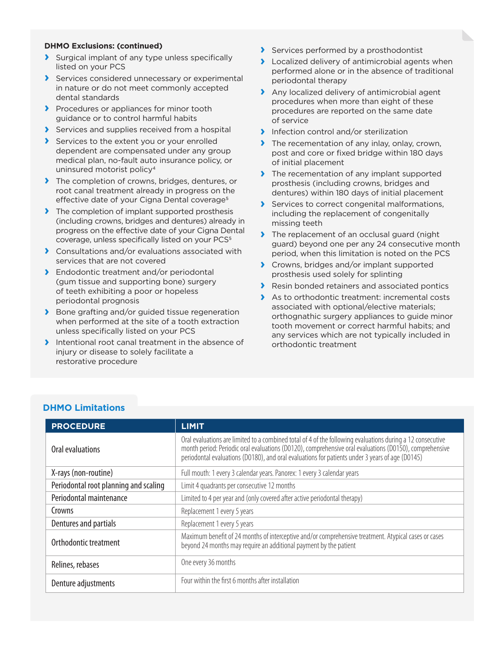#### **DHMO Exclusions: (continued)**

- **›** Surgical implant of any type unless specifically listed on your PCS
- **›** Services considered unnecessary or experimental in nature or do not meet commonly accepted dental standards
- **›** Procedures or appliances for minor tooth guidance or to control harmful habits
- **›** Services and supplies received from a hospital
- **›** Services to the extent you or your enrolled dependent are compensated under any group medical plan, no-fault auto insurance policy, or uninsured motorist policy4
- **›** The completion of crowns, bridges, dentures, or root canal treatment already in progress on the effective date of your Cigna Dental coverage<sup>5</sup>
- **›** The completion of implant supported prosthesis (including crowns, bridges and dentures) already in progress on the effective date of your Cigna Dental coverage, unless specifically listed on your PCS<sup>5</sup>
- **›** Consultations and/or evaluations associated with services that are not covered
- **›** Endodontic treatment and/or periodontal (gum tissue and supporting bone) surgery of teeth exhibiting a poor or hopeless periodontal prognosis
- **›** Bone grafting and/or guided tissue regeneration when performed at the site of a tooth extraction unless specifically listed on your PCS
- **›** Intentional root canal treatment in the absence of injury or disease to solely facilitate a restorative procedure
- **›** Services performed by a prosthodontist
- **›** Localized delivery of antimicrobial agents when performed alone or in the absence of traditional periodontal therapy
- **›** Any localized delivery of antimicrobial agent procedures when more than eight of these procedures are reported on the same date of service
- **›** Infection control and/or sterilization
- **›** The recementation of any inlay, onlay, crown, post and core or fixed bridge within 180 days of initial placement
- **›** The recementation of any implant supported prosthesis (including crowns, bridges and dentures) within 180 days of initial placement
- **›** Services to correct congenital malformations, including the replacement of congenitally missing teeth
- **›** The replacement of an occlusal guard (night guard) beyond one per any 24 consecutive month period, when this limitation is noted on the PCS
- **›** Crowns, bridges and/or implant supported prosthesis used solely for splinting
- **›** Resin bonded retainers and associated pontics
- **›** As to orthodontic treatment: incremental costs associated with optional/elective materials; orthognathic surgery appliances to guide minor tooth movement or correct harmful habits; and any services which are not typically included in orthodontic treatment

#### **DHMO Limitations**

| <b>PROCEDURE</b>                      | <b>LIMIT</b>                                                                                                                                                                                                                                                                                                            |
|---------------------------------------|-------------------------------------------------------------------------------------------------------------------------------------------------------------------------------------------------------------------------------------------------------------------------------------------------------------------------|
| Oral evaluations                      | Oral evaluations are limited to a combined total of 4 of the following evaluations during a 12 consecutive<br>month period: Periodic oral evaluations (D0120), comprehensive oral evaluations (D0150), comprehensive<br>periodontal evaluations (D0180), and oral evaluations for patients under 3 years of age (D0145) |
| X-rays (non-routine)                  | Full mouth: 1 every 3 calendar years. Panorex: 1 every 3 calendar years                                                                                                                                                                                                                                                 |
| Periodontal root planning and scaling | Limit 4 quadrants per consecutive 12 months                                                                                                                                                                                                                                                                             |
| Periodontal maintenance               | Limited to 4 per year and (only covered after active periodontal therapy)                                                                                                                                                                                                                                               |
| Crowns                                | Replacement 1 every 5 years                                                                                                                                                                                                                                                                                             |
| Dentures and partials                 | Replacement 1 every 5 years                                                                                                                                                                                                                                                                                             |
| Orthodontic treatment                 | Maximum benefit of 24 months of interceptive and/or comprehensive treatment. Atypical cases or cases<br>beyond 24 months may require an additional payment by the patient                                                                                                                                               |
| Relines, rebases                      | One every 36 months                                                                                                                                                                                                                                                                                                     |
| Denture adjustments                   | Four within the first 6 months after installation                                                                                                                                                                                                                                                                       |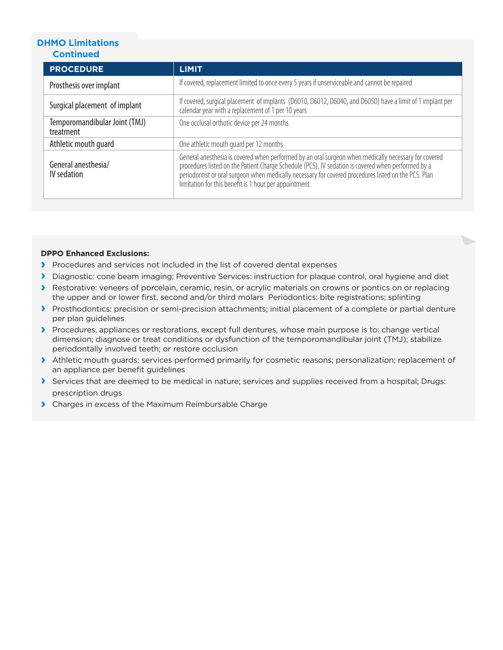#### **DHMO Limitations Continued**

| <b>PROCEDURE</b>                           | <b>LIMIT</b>                                                                                                                                                                                                                                                                                                                                                                 |
|--------------------------------------------|------------------------------------------------------------------------------------------------------------------------------------------------------------------------------------------------------------------------------------------------------------------------------------------------------------------------------------------------------------------------------|
| Prosthesis over implant                    | If covered, replacement limited to once every 5 years if unserviceable and cannot be repaired                                                                                                                                                                                                                                                                                |
| Surgical placement of implant              | If covered, surgical placement of implants (D6010, D6012, D6040, and D6050) have a limit of 1 implant per<br>calendar year with a replacement of 1 per 10 years                                                                                                                                                                                                              |
| Temporomandibular Joint (TMJ)<br>treatment | One occlusal orthotic device per 24 months                                                                                                                                                                                                                                                                                                                                   |
| Athletic mouth quard                       | One athletic mouth guard per 12 months                                                                                                                                                                                                                                                                                                                                       |
| General anesthesia/<br>IV sedation         | General anesthesia is covered when performed by an oral surgeon when medically necessary for covered<br>procedures listed on the Patient Charge Schedule (PCS). IV sedation is covered when performed by a<br>periodontist or oral surgeon when medically necessary for covered procedures listed on the PCS. Plan<br>limitation for this benefit is 1 hour per appointment. |

#### **DPPO Enhanced Exclusions:**

- **›** Procedures and services not included in the list of covered dental expenses
- **›** Diagnostic: cone beam imaging; Preventive Services: instruction for plaque control, oral hygiene and diet
- **›** Restorative: veneers of porcelain, ceramic, resin, or acrylic materials on crowns or pontics on or replacing the upper and or lower first, second and/or third molars Periodontics: bite registrations; splinting
- **›** Prosthodontics: precision or semi-precision attachments; initial placement of a complete or partial denture per plan guidelines
- **›** Procedures, appliances or restorations, except full dentures, whose main purpose is to: change vertical dimension; diagnose or treat conditions or dysfunction of the temporomandibular joint (TMJ); stabilize periodontally involved teeth; or restore occlusion
- **›** Athletic mouth guards; services performed primarily for cosmetic reasons; personalization; replacement of an appliance per benefit guidelines
- **›** Services that are deemed to be medical in nature; services and supplies received from a hospital; Drugs: prescription drugs
- **›** Charges in excess of the Maximum Reimbursable Charge